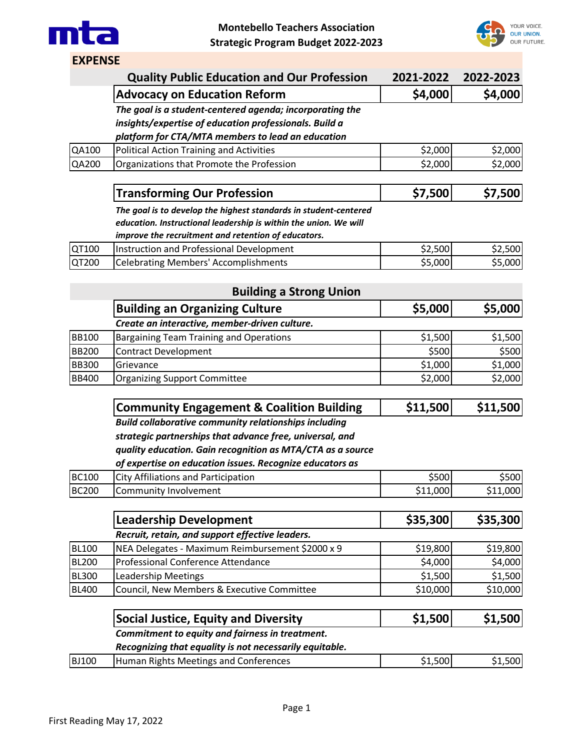



**EXPENSE**

|              | <b>Quality Public Education and Our Profession</b>                      | 2021-2022 | 2022-2023 |
|--------------|-------------------------------------------------------------------------|-----------|-----------|
|              | <b>Advocacy on Education Reform</b>                                     | \$4,000   | \$4,000   |
|              | The goal is a student-centered agenda; incorporating the                |           |           |
|              | insights/expertise of education professionals. Build a                  |           |           |
|              | platform for CTA/MTA members to lead an education                       |           |           |
| QA100        | <b>Political Action Training and Activities</b>                         | \$2,000   | \$2,000   |
| QA200        | Organizations that Promote the Profession                               | \$2,000   | \$2,000   |
|              | <b>Transforming Our Profession</b>                                      | \$7,500   | \$7,500   |
|              | The goal is to develop the highest standards in student-centered        |           |           |
|              | education. Instructional leadership is within the union. We will        |           |           |
|              | improve the recruitment and retention of educators.                     |           |           |
| QT100        | Instruction and Professional Development                                | \$2,500   | \$2,500   |
| QT200        | <b>Celebrating Members' Accomplishments</b>                             | \$5,000   | \$5,000   |
|              |                                                                         |           |           |
|              | <b>Building a Strong Union</b><br><b>Building an Organizing Culture</b> |           | \$5,000   |
|              |                                                                         | \$5,000   |           |
|              | Create an interactive, member-driven culture.                           |           |           |
| <b>BB100</b> | <b>Bargaining Team Training and Operations</b>                          | \$1,500   | \$1,500   |
| <b>BB200</b> | <b>Contract Development</b>                                             | \$500     | \$500     |
| <b>BB300</b> | Grievance                                                               | \$1,000   | \$1,000   |
| <b>BB400</b> | <b>Organizing Support Committee</b>                                     | \$2,000   | \$2,000   |
|              | <b>Community Engagement &amp; Coalition Building</b>                    | \$11,500  | \$11,500  |
|              | <b>Build collaborative community relationships including</b>            |           |           |
|              | strategic partnerships that advance free, universal, and                |           |           |
|              | quality education. Gain recognition as MTA/CTA as a source              |           |           |
|              | of expertise on education issues. Recognize educators as                |           |           |
| <b>BC100</b> | <b>City Affiliations and Participation</b>                              | \$500     | \$500     |
| <b>BC200</b> | Community Involvement                                                   | \$11,000  | \$11,000  |
|              |                                                                         |           |           |
|              | <b>Leadership Development</b>                                           | \$35,300  | \$35,300  |
|              | Recruit, retain, and support effective leaders.                         |           |           |
| <b>BL100</b> | NEA Delegates - Maximum Reimbursement \$2000 x 9                        | \$19,800  | \$19,800  |
| <b>BL200</b> | Professional Conference Attendance                                      | \$4,000   | \$4,000   |
| <b>BL300</b> | <b>Leadership Meetings</b>                                              | \$1,500   | \$1,500   |
| <b>BL400</b> | Council, New Members & Executive Committee                              | \$10,000  | \$10,000  |
|              | <b>Social Justice, Equity and Diversity</b>                             | \$1,500   | \$1,500   |
|              | Commitment to equity and fairness in treatment.                         |           |           |
|              | Recognizing that equality is not necessarily equitable.                 |           |           |
| <b>BJ100</b> | Human Rights Meetings and Conferences                                   | \$1,500   | \$1,500   |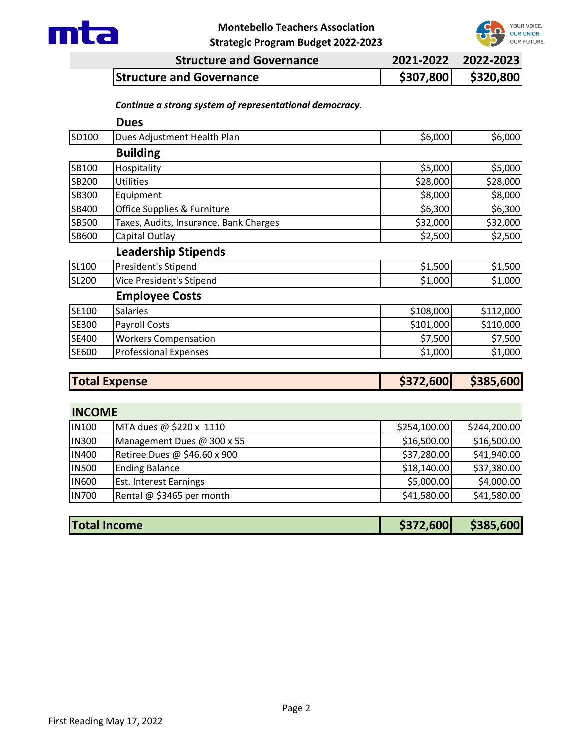

## **Montebello Teachers Association**



| <b>Strategic Program Budget 2022-2023</b> |  |  |  |  |  |
|-------------------------------------------|--|--|--|--|--|
|-------------------------------------------|--|--|--|--|--|

| <b>Structure and Governance</b> | 2021-2022 2022-2023 |
|---------------------------------|---------------------|
| <b>Structure and Governance</b> | \$307,800 \$320,800 |

## *Continue a strong system of representational democracy.*

| <b>Dues</b>                            |                      |           |
|----------------------------------------|----------------------|-----------|
| Dues Adjustment Health Plan            | \$6,000              | \$6,000   |
| <b>Building</b>                        |                      |           |
| Hospitality                            | \$5,000              | \$5,000   |
| <b>Utilities</b>                       | \$28,000             | \$28,000  |
| Equipment                              | \$8,000              | \$8,000   |
| Office Supplies & Furniture            | \$6,300              | \$6,300   |
| Taxes, Audits, Insurance, Bank Charges | \$32,000             | \$32,000  |
| Capital Outlay                         | \$2,500              | \$2,500   |
| <b>Leadership Stipends</b>             |                      |           |
| President's Stipend                    | \$1,500              | \$1,500   |
| Vice President's Stipend               | \$1,000              | \$1,000   |
| <b>Employee Costs</b>                  |                      |           |
| <b>Salaries</b>                        | \$108,000            | \$112,000 |
| Payroll Costs                          | \$101,000            | \$110,000 |
| <b>Workers Compensation</b>            | \$7,500              | \$7,500   |
| <b>Professional Expenses</b>           | \$1,000              | \$1,000   |
|                                        | \$372,600            | \$385,600 |
|                                        | <b>Total Expense</b> |           |

## **INCOME**

| <b>IN100</b> | MTA dues @ \$220 x 1110       | \$254,100.00 | \$244,200.00 |
|--------------|-------------------------------|--------------|--------------|
| <b>IN300</b> | Management Dues @ 300 x 55    | \$16,500.00  | \$16,500.00  |
| <b>IN400</b> | Retiree Dues @ \$46.60 x 900  | \$37,280.00  | \$41,940.00  |
| <b>IN500</b> | <b>Ending Balance</b>         | \$18,140.00  | \$37,380.00  |
| <b>IN600</b> | <b>Est. Interest Earnings</b> | \$5,000.00   | \$4,000.00   |
| <b>IN700</b> | Rental @ \$3465 per month     | \$41,580.00  | \$41,580.00  |

| <b>Total Income</b> | \$372,600 | \$385,600 |
|---------------------|-----------|-----------|
|                     |           |           |